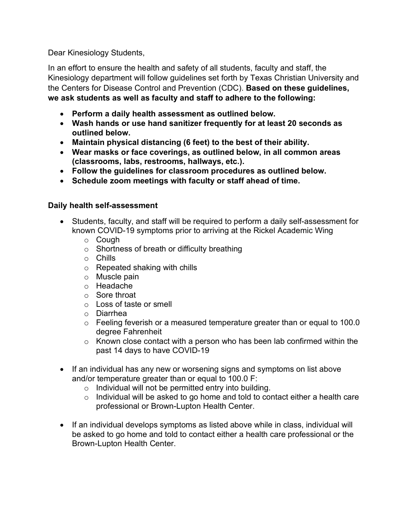Dear Kinesiology Students,

In an effort to ensure the health and safety of all students, faculty and staff, the Kinesiology department will follow guidelines set forth by Texas Christian University and the Centers for Disease Control and Prevention (CDC). **Based on these guidelines, we ask students as well as faculty and staff to adhere to the following:**

- **Perform a daily health assessment as outlined below.**
- **Wash hands or use hand sanitizer frequently for at least 20 seconds as outlined below.**
- **Maintain physical distancing (6 feet) to the best of their ability.**
- **Wear masks or face coverings, as outlined below, in all common areas (classrooms, labs, restrooms, hallways, etc.).**
- **Follow the guidelines for classroom procedures as outlined below.**
- **Schedule zoom meetings with faculty or staff ahead of time.**

#### **Daily health self-assessment**

- Students, faculty, and staff will be required to perform a daily self-assessment for known COVID-19 symptoms prior to arriving at the Rickel Academic Wing
	- o Cough
	- o Shortness of breath or difficulty breathing
	- o Chills
	- o Repeated shaking with chills
	- o Muscle pain
	- o Headache
	- o Sore throat
	- o Loss of taste or smell
	- o Diarrhea
	- o Feeling feverish or a measured temperature greater than or equal to 100.0 degree Fahrenheit
	- $\circ$  Known close contact with a person who has been lab confirmed within the past 14 days to have COVID-19
- If an individual has any new or worsening signs and symptoms on list above and/or temperature greater than or equal to 100.0 F:
	- $\circ$  Individual will not be permitted entry into building.
	- $\circ$  Individual will be asked to go home and told to contact either a health care professional or Brown-Lupton Health Center.
- If an individual develops symptoms as listed above while in class, individual will be asked to go home and told to contact either a health care professional or the Brown-Lupton Health Center.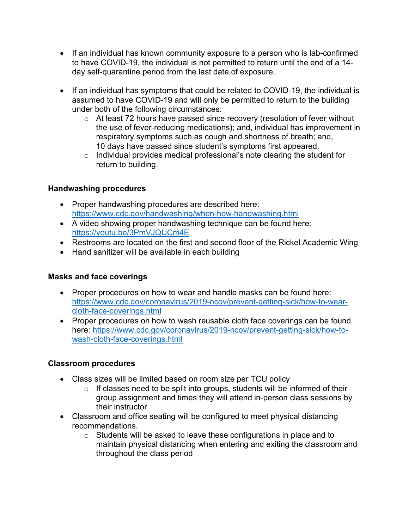- If an individual has known community exposure to a person who is lab-confirmed to have COVID-19, the individual is not permitted to return until the end of a 14 day self-quarantine period from the last date of exposure.
- If an individual has symptoms that could be related to COVID-19, the individual is assumed to have COVID-19 and will only be permitted to return to the building under both of the following circumstances:
	- o At least 72 hours have passed since recovery (resolution of fever without the use of fever-reducing medications); and, individual has improvement in respiratory symptoms such as cough and shortness of breath; and, 10 days have passed since student's symptoms first appeared.
	- o Individual provides medical professional's note clearing the student for return to building.

#### **Handwashing procedures**

- Proper handwashing procedures are described here: https://www.cdc.gov/handwashing/when-how-handwashing.html
- A video showing proper handwashing technique can be found here: https://youtu.be/3PmVJQUCm4E
- Restrooms are located on the first and second floor of the Rickel Academic Wing
- Hand sanitizer will be available in each building

#### **Masks and face coverings**

- Proper procedures on how to wear and handle masks can be found here: https://www.cdc.gov/coronavirus/2019-ncov/prevent-getting-sick/how-to-wearcloth-face-coverings.html
- Proper procedures on how to wash reusable cloth face coverings can be found here: https://www.cdc.gov/coronavirus/2019-ncov/prevent-getting-sick/how-towash-cloth-face-coverings.html

#### **Classroom procedures**

- Class sizes will be limited based on room size per TCU policy
	- $\circ$  If classes need to be split into groups, students will be informed of their group assignment and times they will attend in-person class sessions by their instructor
- Classroom and office seating will be configured to meet physical distancing recommendations.
	- $\circ$  Students will be asked to leave these configurations in place and to maintain physical distancing when entering and exiting the classroom and throughout the class period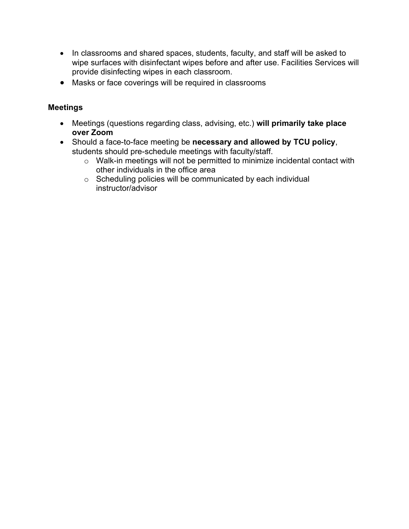- In classrooms and shared spaces, students, faculty, and staff will be asked to wipe surfaces with disinfectant wipes before and after use. Facilities Services will provide disinfecting wipes in each classroom.
- Masks or face coverings will be required in classrooms

#### **Meetings**

- Meetings (questions regarding class, advising, etc.) **will primarily take place over Zoom**
- Should a face-to-face meeting be **necessary and allowed by TCU policy**, students should pre-schedule meetings with faculty/staff.
	- o Walk-in meetings will not be permitted to minimize incidental contact with other individuals in the office area
	- o Scheduling policies will be communicated by each individual instructor/advisor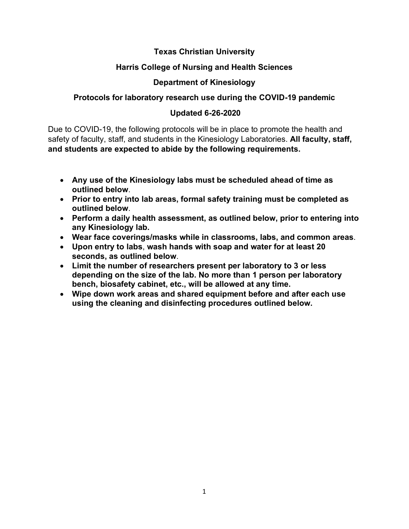#### **Texas Christian University**

#### **Harris College of Nursing and Health Sciences**

#### **Department of Kinesiology**

#### **Protocols for laboratory research use during the COVID-19 pandemic**

#### **Updated 6-26-2020**

Due to COVID-19, the following protocols will be in place to promote the health and safety of faculty, staff, and students in the Kinesiology Laboratories. **All faculty, staff, and students are expected to abide by the following requirements.**

- **Any use of the Kinesiology labs must be scheduled ahead of time as outlined below**.
- **Prior to entry into lab areas, formal safety training must be completed as outlined below**.
- **Perform a daily health assessment, as outlined below, prior to entering into any Kinesiology lab.**
- **Wear face coverings/masks while in classrooms, labs, and common areas**.
- **Upon entry to labs**, **wash hands with soap and water for at least 20 seconds, as outlined below**.
- **Limit the number of researchers present per laboratory to 3 or less depending on the size of the lab. No more than 1 person per laboratory bench, biosafety cabinet, etc., will be allowed at any time.**
- **Wipe down work areas and shared equipment before and after each use using the cleaning and disinfecting procedures outlined below.**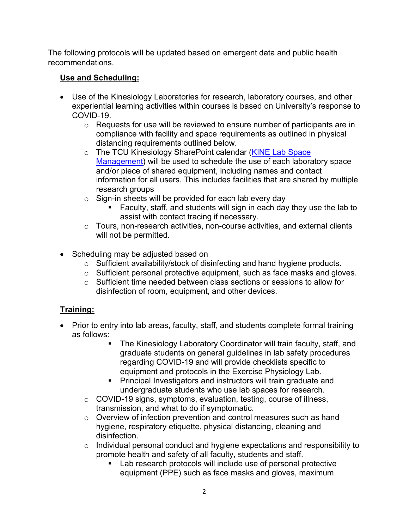The following protocols will be updated based on emergent data and public health recommendations.

#### **Use and Scheduling:**

- Use of the Kinesiology Laboratories for research, laboratory courses, and other experiential learning activities within courses is based on University's response to COVID-19.
	- o Requests for use will be reviewed to ensure number of participants are in compliance with facility and space requirements as outlined in physical distancing requirements outlined below.
	- o The TCU Kinesiology SharePoint calendar (KINE Lab Space Management) will be used to schedule the use of each laboratory space and/or piece of shared equipment, including names and contact information for all users. This includes facilities that are shared by multiple research groups
	- $\circ$  Sign-in sheets will be provided for each lab every day
		- Faculty, staff, and students will sign in each day they use the lab to assist with contact tracing if necessary.
	- o Tours, non-research activities, non-course activities, and external clients will not be permitted.
- Scheduling may be adjusted based on
	- o Sufficient availability/stock of disinfecting and hand hygiene products.
	- o Sufficient personal protective equipment, such as face masks and gloves.
	- $\circ$  Sufficient time needed between class sections or sessions to allow for disinfection of room, equipment, and other devices.

### **Training:**

- Prior to entry into lab areas, faculty, staff, and students complete formal training as follows:
	- The Kinesiology Laboratory Coordinator will train faculty, staff, and graduate students on general guidelines in lab safety procedures regarding COVID-19 and will provide checklists specific to equipment and protocols in the Exercise Physiology Lab.
	- Principal Investigators and instructors will train graduate and undergraduate students who use lab spaces for research.
	- o COVID-19 signs, symptoms, evaluation, testing, course of illness, transmission, and what to do if symptomatic.
	- o Overview of infection prevention and control measures such as hand hygiene, respiratory etiquette, physical distancing, cleaning and disinfection.
	- o Individual personal conduct and hygiene expectations and responsibility to promote health and safety of all faculty, students and staff.
		- Lab research protocols will include use of personal protective equipment (PPE) such as face masks and gloves, maximum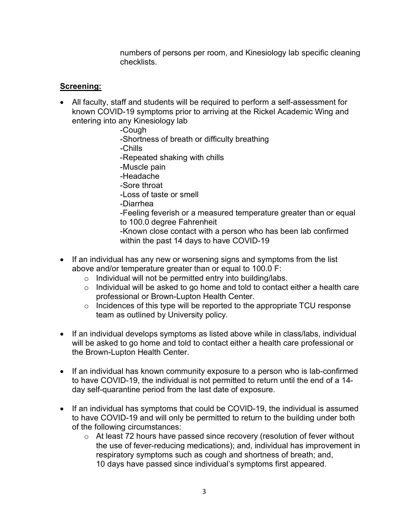numbers of persons per room, and Kinesiology lab specific cleaning checklists.

#### **Screening:**

- All faculty, staff and students will be required to perform a self-assessment for known COVID-19 symptoms prior to arriving at the Rickel Academic Wing and entering into any Kinesiology lab
	- -Cough
	- -Shortness of breath or difficulty breathing
	- -Chills
	- -Repeated shaking with chills
	- -Muscle pain
	- -Headache
	- -Sore throat
	- -Loss of taste or smell
	- -Diarrhea
	- -Feeling feverish or a measured temperature greater than or equal to 100.0 degree Fahrenheit
	- -Known close contact with a person who has been lab confirmed within the past 14 days to have COVID-19
- If an individual has any new or worsening signs and symptoms from the list above and/or temperature greater than or equal to 100.0 F:
	- o Individual will not be permitted entry into building/labs.
	- $\circ$  Individual will be asked to go home and told to contact either a health care professional or Brown-Lupton Health Center.
	- $\circ$  Incidences of this type will be reported to the appropriate TCU response team as outlined by University policy.
- If an individual develops symptoms as listed above while in class/labs, individual will be asked to go home and told to contact either a health care professional or the Brown-Lupton Health Center.
- If an individual has known community exposure to a person who is lab-confirmed to have COVID-19, the individual is not permitted to return until the end of a 14 day self-quarantine period from the last date of exposure.
- If an individual has symptoms that could be COVID-19, the individual is assumed to have COVID-19 and will only be permitted to return to the building under both of the following circumstances:
	- o At least 72 hours have passed since recovery (resolution of fever without the use of fever-reducing medications); and, individual has improvement in respiratory symptoms such as cough and shortness of breath; and, 10 days have passed since individual's symptoms first appeared.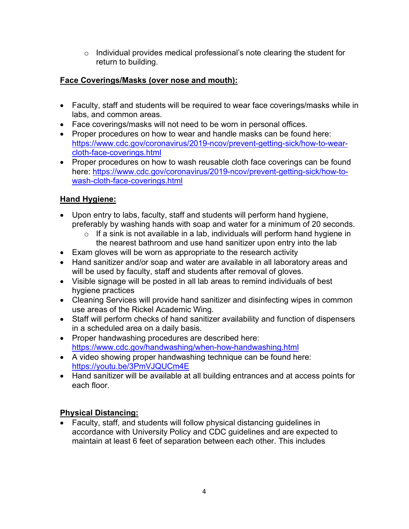$\circ$  Individual provides medical professional's note clearing the student for return to building.

#### **Face Coverings/Masks (over nose and mouth):**

- Faculty, staff and students will be required to wear face coverings/masks while in labs, and common areas.
- Face coverings/masks will not need to be worn in personal offices.
- Proper procedures on how to wear and handle masks can be found here: https://www.cdc.gov/coronavirus/2019-ncov/prevent-getting-sick/how-to-wearcloth-face-coverings.html
- Proper procedures on how to wash reusable cloth face coverings can be found here: https://www.cdc.gov/coronavirus/2019-ncov/prevent-getting-sick/how-towash-cloth-face-coverings.html

#### **Hand Hygiene:**

- Upon entry to labs, faculty, staff and students will perform hand hygiene, preferably by washing hands with soap and water for a minimum of 20 seconds.
	- $\circ$  If a sink is not available in a lab, individuals will perform hand hygiene in the nearest bathroom and use hand sanitizer upon entry into the lab
- Exam gloves will be worn as appropriate to the research activity
- Hand sanitizer and/or soap and water are available in all laboratory areas and will be used by faculty, staff and students after removal of gloves.
- Visible signage will be posted in all lab areas to remind individuals of best hygiene practices
- Cleaning Services will provide hand sanitizer and disinfecting wipes in common use areas of the Rickel Academic Wing.
- Staff will perform checks of hand sanitizer availability and function of dispensers in a scheduled area on a daily basis.
- Proper handwashing procedures are described here: https://www.cdc.gov/handwashing/when-how-handwashing.html
- A video showing proper handwashing technique can be found here: https://youtu.be/3PmVJQUCm4E
- Hand sanitizer will be available at all building entrances and at access points for each floor.

### **Physical Distancing:**

• Faculty, staff, and students will follow physical distancing guidelines in accordance with University Policy and CDC guidelines and are expected to maintain at least 6 feet of separation between each other. This includes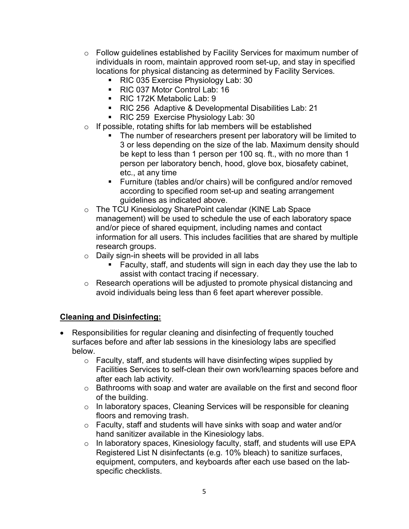- $\circ$  Follow guidelines established by Facility Services for maximum number of individuals in room, maintain approved room set-up, and stay in specified locations for physical distancing as determined by Facility Services.
	- RIC 035 Exercise Physiology Lab: 30
	- RIC 037 Motor Control Lab: 16
	- RIC 172K Metabolic Lab: 9
	- RIC 256 Adaptive & Developmental Disabilities Lab: 21
	- RIC 259 Exercise Physiology Lab: 30
- o If possible, rotating shifts for lab members will be established
	- The number of researchers present per laboratory will be limited to 3 or less depending on the size of the lab. Maximum density should be kept to less than 1 person per 100 sq. ft., with no more than 1 person per laboratory bench, hood, glove box, biosafety cabinet, etc., at any time
	- § Furniture (tables and/or chairs) will be configured and/or removed according to specified room set-up and seating arrangement guidelines as indicated above.
- o The TCU Kinesiology SharePoint calendar (KINE Lab Space management) will be used to schedule the use of each laboratory space and/or piece of shared equipment, including names and contact information for all users. This includes facilities that are shared by multiple research groups.
- o Daily sign-in sheets will be provided in all labs
	- § Faculty, staff, and students will sign in each day they use the lab to assist with contact tracing if necessary.
- o Research operations will be adjusted to promote physical distancing and avoid individuals being less than 6 feet apart wherever possible.

#### **Cleaning and Disinfecting:**

- Responsibilities for regular cleaning and disinfecting of frequently touched surfaces before and after lab sessions in the kinesiology labs are specified below.
	- o Faculty, staff, and students will have disinfecting wipes supplied by Facilities Services to self-clean their own work/learning spaces before and after each lab activity.
	- $\circ$  Bathrooms with soap and water are available on the first and second floor of the building.
	- o In laboratory spaces, Cleaning Services will be responsible for cleaning floors and removing trash.
	- o Faculty, staff and students will have sinks with soap and water and/or hand sanitizer available in the Kinesiology labs.
	- o In laboratory spaces, Kinesiology faculty, staff, and students will use EPA Registered List N disinfectants (e.g. 10% bleach) to sanitize surfaces, equipment, computers, and keyboards after each use based on the labspecific checklists.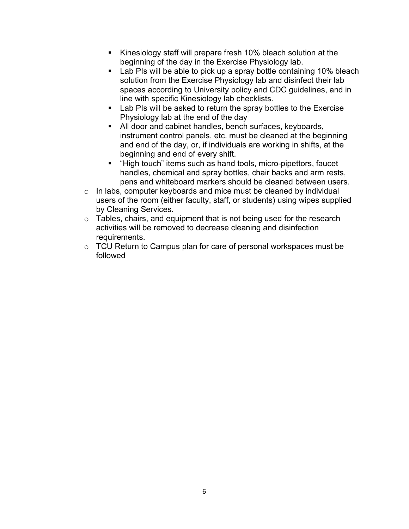- Kinesiology staff will prepare fresh 10% bleach solution at the beginning of the day in the Exercise Physiology lab.
- Lab PIs will be able to pick up a spray bottle containing 10% bleach solution from the Exercise Physiology lab and disinfect their lab spaces according to University policy and CDC guidelines, and in line with specific Kinesiology lab checklists.
- Lab PIs will be asked to return the spray bottles to the Exercise Physiology lab at the end of the day
- All door and cabinet handles, bench surfaces, keyboards, instrument control panels, etc. must be cleaned at the beginning and end of the day, or, if individuals are working in shifts, at the beginning and end of every shift.
- "High touch" items such as hand tools, micro-pipettors, faucet handles, chemical and spray bottles, chair backs and arm rests, pens and whiteboard markers should be cleaned between users.
- $\circ$  In labs, computer keyboards and mice must be cleaned by individual users of the room (either faculty, staff, or students) using wipes supplied by Cleaning Services.
- $\circ$  Tables, chairs, and equipment that is not being used for the research activities will be removed to decrease cleaning and disinfection requirements.
- $\circ$  TCU Return to Campus plan for care of personal workspaces must be followed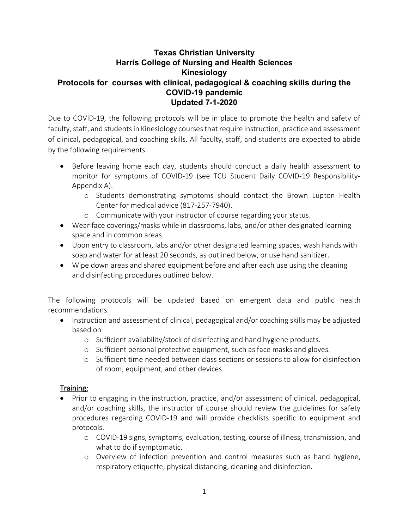#### **Texas Christian University Harris College of Nursing and Health Sciences Kinesiology Protocols for courses with clinical, pedagogical & coaching skills during the COVID-19 pandemic Updated 7-1-2020**

Due to COVID-19, the following protocols will be in place to promote the health and safety of faculty, staff, and students in Kinesiology courses that require instruction, practice and assessment of clinical, pedagogical, and coaching skills. All faculty, staff, and students are expected to abide by the following requirements.

- Before leaving home each day, students should conduct a daily health assessment to monitor for symptoms of COVID-19 (see TCU Student Daily COVID-19 Responsibility-Appendix A).
	- o Students demonstrating symptoms should contact the Brown Lupton Health Center for medical advice (817-257-7940).
	- o Communicate with your instructor of course regarding your status.
- Wear face coverings/masks while in classrooms, labs, and/or other designated learning space and in common areas.
- Upon entry to classroom, labs and/or other designated learning spaces, wash hands with soap and water for at least 20 seconds, as outlined below, or use hand sanitizer.
- Wipe down areas and shared equipment before and after each use using the cleaning and disinfecting procedures outlined below.

The following protocols will be updated based on emergent data and public health recommendations.

- Instruction and assessment of clinical, pedagogical and/or coaching skills may be adjusted based on
	- o Sufficient availability/stock of disinfecting and hand hygiene products.
	- o Sufficient personal protective equipment, such as face masks and gloves.
	- o Sufficient time needed between class sections or sessions to allow for disinfection of room, equipment, and other devices.

#### Training:

- Prior to engaging in the instruction, practice, and/or assessment of clinical, pedagogical, and/or coaching skills, the instructor of course should review the guidelines for safety procedures regarding COVID-19 and will provide checklists specific to equipment and protocols.
	- o COVID-19 signs, symptoms, evaluation, testing, course of illness, transmission, and what to do if symptomatic.
	- o Overview of infection prevention and control measures such as hand hygiene, respiratory etiquette, physical distancing, cleaning and disinfection.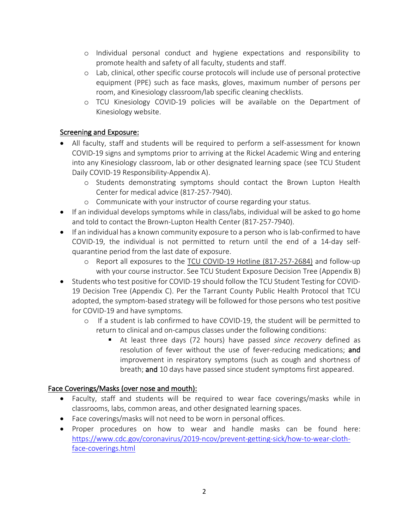- o Individual personal conduct and hygiene expectations and responsibility to promote health and safety of all faculty, students and staff.
- o Lab, clinical, other specific course protocols will include use of personal protective equipment (PPE) such as face masks, gloves, maximum number of persons per room, and Kinesiology classroom/lab specific cleaning checklists.
- o TCU Kinesiology COVID-19 policies will be available on the Department of Kinesiology website.

#### Screening and Exposure:

- All faculty, staff and students will be required to perform a self-assessment for known COVID-19 signs and symptoms prior to arriving at the Rickel Academic Wing and entering into any Kinesiology classroom, lab or other designated learning space (see TCU Student Daily COVID-19 Responsibility-Appendix A).
	- o Students demonstrating symptoms should contact the Brown Lupton Health Center for medical advice (817-257-7940).
	- o Communicate with your instructor of course regarding your status.
- If an individual develops symptoms while in class/labs, individual will be asked to go home and told to contact the Brown-Lupton Health Center (817-257-7940).
- If an individual has a known community exposure to a person who is lab-confirmed to have COVID-19, the individual is not permitted to return until the end of a 14-day selfquarantine period from the last date of exposure.
	- o Report all exposures to the TCU COVID-19 Hotline (817-257-2684) and follow-up with your course instructor. See TCU Student Exposure Decision Tree (Appendix B)
- Students who test positive for COVID-19 should follow the TCU Student Testing for COVID-19 Decision Tree (Appendix C). Per the Tarrant County Public Health Protocol that TCU adopted, the symptom-based strategy will be followed for those persons who test positive for COVID-19 and have symptoms.
	- o If a student is lab confirmed to have COVID-19, the student will be permitted to return to clinical and on-campus classes under the following conditions:
		- § At least three days (72 hours) have passed *since recovery* defined as resolution of fever without the use of fever-reducing medications; and improvement in respiratory symptoms (such as cough and shortness of breath; and 10 days have passed since student symptoms first appeared.

#### Face Coverings/Masks (over nose and mouth):

- Faculty, staff and students will be required to wear face coverings/masks while in classrooms, labs, common areas, and other designated learning spaces.
- Face coverings/masks will not need to be worn in personal offices.
- Proper procedures on how to wear and handle masks can be found here: https://www.cdc.gov/coronavirus/2019-ncov/prevent-getting-sick/how-to-wear-clothface-coverings.html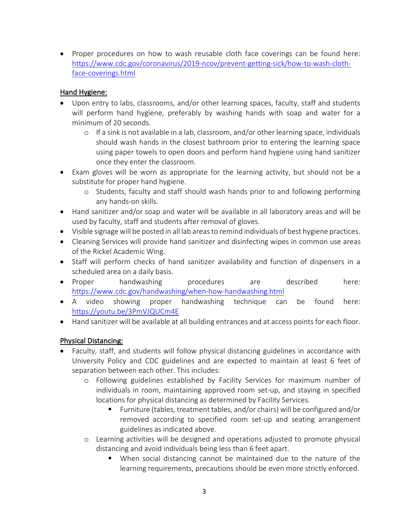• Proper procedures on how to wash reusable cloth face coverings can be found here: https://www.cdc.gov/coronavirus/2019-ncov/prevent-getting-sick/how-to-wash-clothface-coverings.html

#### Hand Hygiene:

- Upon entry to labs, classrooms, and/or other learning spaces, faculty, staff and students will perform hand hygiene, preferably by washing hands with soap and water for a minimum of 20 seconds.
	- $\circ$  If a sink is not available in a lab, classroom, and/or other learning space, individuals should wash hands in the closest bathroom prior to entering the learning space using paper towels to open doors and perform hand hygiene using hand sanitizer once they enter the classroom.
- Exam gloves will be worn as appropriate for the learning activity, but should not be a substitute for proper hand hygiene.
	- o Students, faculty and staff should wash hands prior to and following performing any hands-on skills.
- Hand sanitizer and/or soap and water will be available in all laboratory areas and will be used by faculty, staff and students after removal of gloves.
- Visible signage will be posted in all lab areas to remind individuals of best hygiene practices.
- Cleaning Services will provide hand sanitizer and disinfecting wipes in common use areas of the Rickel Academic Wing.
- Staff will perform checks of hand sanitizer availability and function of dispensers in a scheduled area on a daily basis.
- Proper handwashing procedures are described here: https://www.cdc.gov/handwashing/when-how-handwashing.html
- A video showing proper handwashing technique can be found here: https://youtu.be/3PmVJQUCm4E
- Hand sanitizer will be available at all building entrances and at access points for each floor.

#### Physical Distancing:

- Faculty, staff, and students will follow physical distancing guidelines in accordance with University Policy and CDC guidelines and are expected to maintain at least 6 feet of separation between each other. This includes:
	- o Following guidelines established by Facility Services for maximum number of individuals in room, maintaining approved room set-up, and staying in specified locations for physical distancing as determined by Facility Services.
		- § Furniture (tables, treatment tables, and/or chairs) will be configured and/or removed according to specified room set-up and seating arrangement guidelines as indicated above.
	- o Learning activities will be designed and operations adjusted to promote physical distancing and avoid individuals being less than 6 feet apart.
		- When social distancing cannot be maintained due to the nature of the learning requirements, precautions should be even more strictly enforced.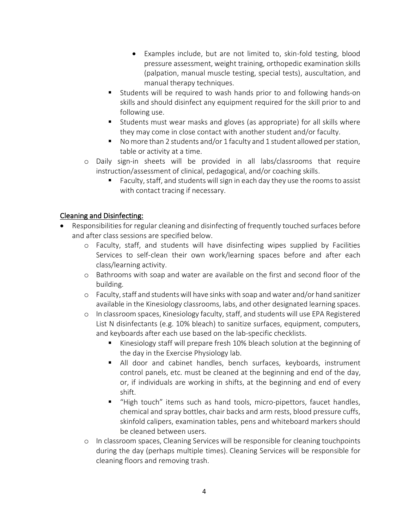- Examples include, but are not limited to, skin-fold testing, blood pressure assessment, weight training, orthopedic examination skills (palpation, manual muscle testing, special tests), auscultation, and manual therapy techniques.
- Students will be required to wash hands prior to and following hands-on skills and should disinfect any equipment required for the skill prior to and following use.
- Students must wear masks and gloves (as appropriate) for all skills where they may come in close contact with another student and/or faculty.
- No more than 2 students and/or 1 faculty and 1 student allowed per station, table or activity at a time.
- o Daily sign-in sheets will be provided in all labs/classrooms that require instruction/assessment of clinical, pedagogical, and/or coaching skills.
	- Faculty, staff, and students will sign in each day they use the rooms to assist with contact tracing if necessary.

#### Cleaning and Disinfecting:

- Responsibilities for regular cleaning and disinfecting of frequently touched surfaces before and after class sessions are specified below.
	- o Faculty, staff, and students will have disinfecting wipes supplied by Facilities Services to self-clean their own work/learning spaces before and after each class/learning activity.
	- o Bathrooms with soap and water are available on the first and second floor of the building.
	- o Faculty, staff and students will have sinks with soap and water and/or hand sanitizer available in the Kinesiology classrooms, labs, and other designated learning spaces.
	- o In classroom spaces, Kinesiology faculty, staff, and students will use EPA Registered List N disinfectants (e.g. 10% bleach) to sanitize surfaces, equipment, computers, and keyboards after each use based on the lab-specific checklists.
		- § Kinesiology staff will prepare fresh 10% bleach solution at the beginning of the day in the Exercise Physiology lab.
		- All door and cabinet handles, bench surfaces, keyboards, instrument control panels, etc. must be cleaned at the beginning and end of the day, or, if individuals are working in shifts, at the beginning and end of every shift.
		- § "High touch" items such as hand tools, micro-pipettors, faucet handles, chemical and spray bottles, chair backs and arm rests, blood pressure cuffs, skinfold calipers, examination tables, pens and whiteboard markers should be cleaned between users.
	- o In classroom spaces, Cleaning Services will be responsible for cleaning touchpoints during the day (perhaps multiple times). Cleaning Services will be responsible for cleaning floors and removing trash.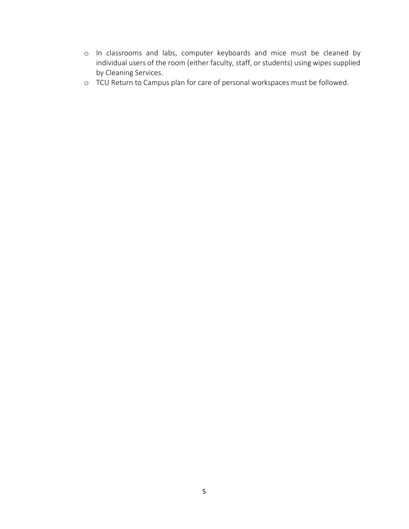- o In classrooms and labs, computer keyboards and mice must be cleaned by individual users of the room (either faculty, staff, or students) using wipes supplied by Cleaning Services.
- o TCU Return to Campus plan for care of personal workspaces must be followed.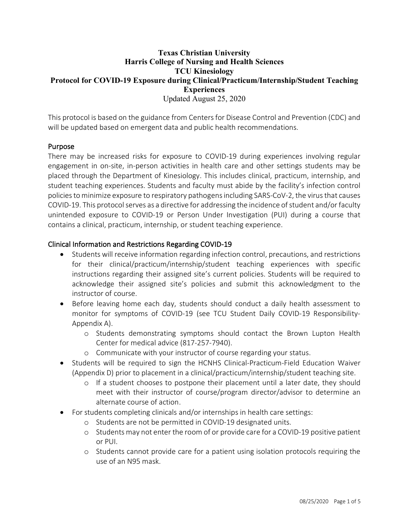#### **Texas Christian University Harris College of Nursing and Health Sciences TCU Kinesiology Protocol for COVID-19 Exposure during Clinical/Practicum/Internship/Student Teaching Experiences** Updated August 25, 2020

This protocol is based on the guidance from Centers for Disease Control and Prevention (CDC) and will be updated based on emergent data and public health recommendations.

#### Purpose

There may be increased risks for exposure to COVID-19 during experiences involving regular engagement in on-site, in-person activities in health care and other settings students may be placed through the Department of Kinesiology. This includes clinical, practicum, internship, and student teaching experiences. Students and faculty must abide by the facility's infection control policies to minimize exposure to respiratory pathogens including SARS-CoV-2, the virus that causes COVID-19. This protocol serves as a directive for addressing the incidence of student and/or faculty unintended exposure to COVID-19 or Person Under Investigation (PUI) during a course that contains a clinical, practicum, internship, or student teaching experience.

#### Clinical Information and Restrictions Regarding COVID-19

- Students will receive information regarding infection control, precautions, and restrictions for their clinical/practicum/internship/student teaching experiences with specific instructions regarding their assigned site's current policies. Students will be required to acknowledge their assigned site's policies and submit this acknowledgment to the instructor of course.
- Before leaving home each day, students should conduct a daily health assessment to monitor for symptoms of COVID-19 (see TCU Student Daily COVID-19 Responsibility-Appendix A).
	- o Students demonstrating symptoms should contact the Brown Lupton Health Center for medical advice (817-257-7940).
	- o Communicate with your instructor of course regarding your status.
- Students will be required to sign the HCNHS Clinical-Practicum-Field Education Waiver (Appendix D) prior to placement in a clinical/practicum/internship/student teaching site.
	- o If a student chooses to postpone their placement until a later date, they should meet with their instructor of course/program director/advisor to determine an alternate course of action.
- For students completing clinicals and/or internships in health care settings:
	- o Students are not be permitted in COVID-19 designated units.
	- o Students may not enter the room of or provide care for a COVID-19 positive patient or PUI.
	- o Students cannot provide care for a patient using isolation protocols requiring the use of an N95 mask.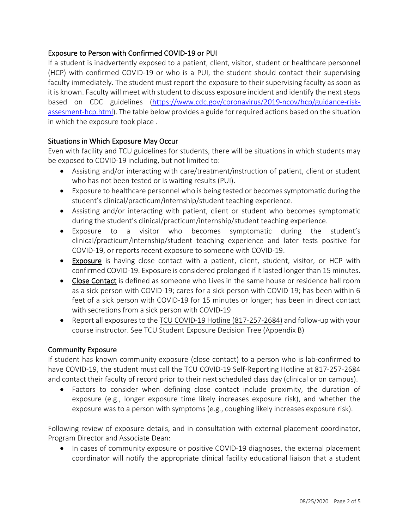#### Exposure to Person with Confirmed COVID-19 or PUI

If a student is inadvertently exposed to a patient, client, visitor, student or healthcare personnel (HCP) with confirmed COVID-19 or who is a PUI, the student should contact their supervising faculty immediately. The student must report the exposure to their supervising faculty as soon as it is known. Faculty will meet with student to discuss exposure incident and identify the next steps based on CDC guidelines (https://www.cdc.gov/coronavirus/2019-ncov/hcp/guidance-riskassesment-hcp.html). The table below provides a guide for required actions based on the situation in which the exposure took place .

#### Situations in Which Exposure May Occur

Even with facility and TCU guidelines for students, there will be situations in which students may be exposed to COVID-19 including, but not limited to:

- Assisting and/or interacting with care/treatment/instruction of patient, client or student who has not been tested or is waiting results (PUI).
- Exposure to healthcare personnel who is being tested or becomes symptomatic during the student's clinical/practicum/internship/student teaching experience.
- Assisting and/or interacting with patient, client or student who becomes symptomatic during the student's clinical/practicum/internship/student teaching experience.
- Exposure to a visitor who becomes symptomatic during the student's clinical/practicum/internship/student teaching experience and later tests positive for COVID-19, or reports recent exposure to someone with COVID-19.
- Exposure is having close contact with a patient, client, student, visitor, or HCP with confirmed COVID-19. Exposure is considered prolonged if it lasted longer than 15 minutes.
- Close Contact is defined as someone who Lives in the same house or residence hall room as a sick person with COVID-19; cares for a sick person with COVID-19; has been within 6 feet of a sick person with COVID-19 for 15 minutes or longer; has been in direct contact with secretions from a sick person with COVID-19
- Report all exposures to the TCU COVID-19 Hotline (817-257-2684) and follow-up with your course instructor. See TCU Student Exposure Decision Tree (Appendix B)

#### Community Exposure

If student has known community exposure (close contact) to a person who is lab-confirmed to have COVID-19, the student must call the TCU COVID-19 Self-Reporting Hotline at 817-257-2684 and contact their faculty of record prior to their next scheduled class day (clinical or on campus).

• Factors to consider when defining close contact include proximity, the duration of exposure (e.g., longer exposure time likely increases exposure risk), and whether the exposure was to a person with symptoms (e.g., coughing likely increases exposure risk).

Following review of exposure details, and in consultation with external placement coordinator, Program Director and Associate Dean:

• In cases of community exposure or positive COVID-19 diagnoses, the external placement coordinator will notify the appropriate clinical facility educational liaison that a student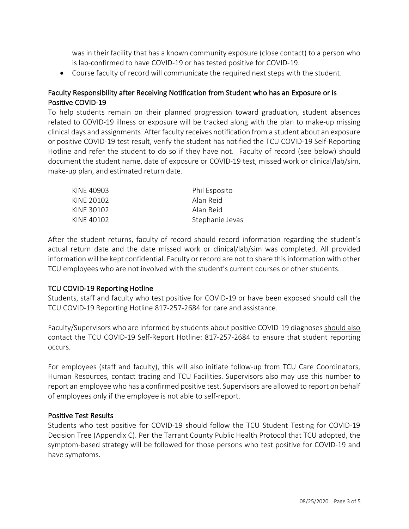was in their facility that has a known community exposure (close contact) to a person who is lab-confirmed to have COVID-19 or has tested positive for COVID-19.

• Course faculty of record will communicate the required next steps with the student.

#### Faculty Responsibility after Receiving Notification from Student who has an Exposure or is Positive COVID-19

To help students remain on their planned progression toward graduation, student absences related to COVID-19 illness or exposure will be tracked along with the plan to make-up missing clinical days and assignments. After faculty receives notification from a student about an exposure or positive COVID-19 test result, verify the student has notified the TCU COVID-19 Self-Reporting Hotline and refer the student to do so if they have not. Faculty of record (see below) should document the student name, date of exposure or COVID-19 test, missed work or clinical/lab/sim, make-up plan, and estimated return date.

| KINE 40903 | Phil Esposito   |
|------------|-----------------|
| KINF 20102 | Alan Reid       |
| KINF 30102 | Alan Reid       |
| KINE 40102 | Stephanie Jevas |

After the student returns, faculty of record should record information regarding the student's actual return date and the date missed work or clinical/lab/sim was completed. All provided information will be kept confidential. Faculty or record are not to share this information with other TCU employees who are not involved with the student's current courses or other students.

#### TCU COVID-19 Reporting Hotline

Students, staff and faculty who test positive for COVID-19 or have been exposed should call the TCU COVID-19 Reporting Hotline 817-257-2684 for care and assistance.

Faculty/Supervisors who are informed by students about positive COVID-19 diagnoses should also contact the TCU COVID-19 Self-Report Hotline: 817-257-2684 to ensure that student reporting occurs.

For employees (staff and faculty), this will also initiate follow-up from TCU Care Coordinators, Human Resources, contact tracing and TCU Facilities. Supervisors also may use this number to report an employee who has a confirmed positive test. Supervisors are allowed to report on behalf of employees only if the employee is not able to self-report.

#### Positive Test Results

Students who test positive for COVID-19 should follow the TCU Student Testing for COVID-19 Decision Tree (Appendix C). Per the Tarrant County Public Health Protocol that TCU adopted, the symptom-based strategy will be followed for those persons who test positive for COVID-19 and have symptoms.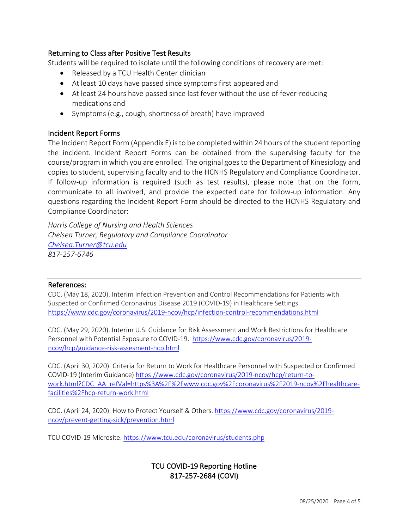#### Returning to Class after Positive Test Results

Students will be required to isolate until the following conditions of recovery are met:

- Released by a TCU Health Center clinician
- At least 10 days have passed since symptoms first appeared and
- At least 24 hours have passed since last fever without the use of fever-reducing medications and
- Symptoms (e.g., cough, shortness of breath) have improved

#### Incident Report Forms

The Incident Report Form (Appendix E) is to be completed within 24 hours of the student reporting the incident. Incident Report Forms can be obtained from the supervising faculty for the course/program in which you are enrolled. The original goes to the Department of Kinesiology and copies to student, supervising faculty and to the HCNHS Regulatory and Compliance Coordinator. If follow-up information is required (such as test results), please note that on the form, communicate to all involved, and provide the expected date for follow-up information. Any questions regarding the Incident Report Form should be directed to the HCNHS Regulatory and Compliance Coordinator:

*Harris College of Nursing and Health Sciences Chelsea Turner, Regulatory and Compliance Coordinator Chelsea.Turner@tcu.edu 817-257-6746*

#### References:

CDC. (May 18, 2020). Interim Infection Prevention and Control Recommendations for Patients with Suspected or Confirmed Coronavirus Disease 2019 (COVID-19) in Healthcare Settings. https://www.cdc.gov/coronavirus/2019-ncov/hcp/infection-control-recommendations.html

CDC. (May 29, 2020). Interim U.S. Guidance for Risk Assessment and Work Restrictions for Healthcare Personnel with Potential Exposure to COVID-19. https://www.cdc.gov/coronavirus/2019 ncov/hcp/guidance-risk-assesment-hcp.html

CDC. (April 30, 2020). Criteria for Return to Work for Healthcare Personnel with Suspected or Confirmed COVID-19 (Interim Guidance) https://www.cdc.gov/coronavirus/2019-ncov/hcp/return-towork.html?CDC\_AA\_refVal=https%3A%2F%2Fwww.cdc.gov%2Fcoronavirus%2F2019-ncov%2Fhealthcarefacilities%2Fhcp-return-work.html

CDC. (April 24, 2020). How to Protect Yourself & Others. https://www.cdc.gov/coronavirus/2019 ncov/prevent-getting-sick/prevention.html

TCU COVID-19 Microsite. https://www.tcu.edu/coronavirus/students.php

#### TCU COVID-19 Reporting Hotline 817-257-2684 (COVI)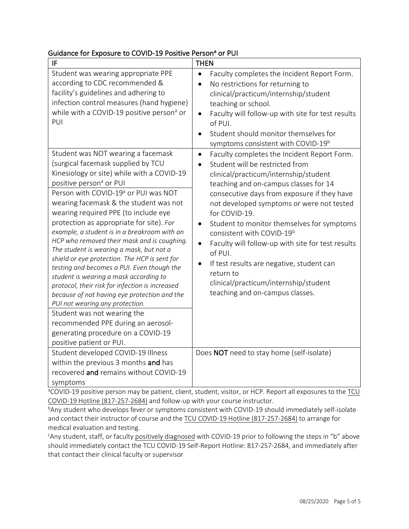#### Guidance for Exposure to COVID-19 Positive Person<sup>a</sup> or PUI

| IF                                                                                                                                                                                                                                                                                                                                                                                                                                                                                                                                                                                                                                                                                                                                                                                                                                                                                                   | <b>THEN</b>                                                                                                                                                                                                                                                                                                                                                                                                                                                                                                                                                                                                                    |
|------------------------------------------------------------------------------------------------------------------------------------------------------------------------------------------------------------------------------------------------------------------------------------------------------------------------------------------------------------------------------------------------------------------------------------------------------------------------------------------------------------------------------------------------------------------------------------------------------------------------------------------------------------------------------------------------------------------------------------------------------------------------------------------------------------------------------------------------------------------------------------------------------|--------------------------------------------------------------------------------------------------------------------------------------------------------------------------------------------------------------------------------------------------------------------------------------------------------------------------------------------------------------------------------------------------------------------------------------------------------------------------------------------------------------------------------------------------------------------------------------------------------------------------------|
| Student was wearing appropriate PPE<br>according to CDC recommended &<br>facility's guidelines and adhering to<br>infection control measures (hand hygiene)<br>while with a COVID-19 positive person <sup>a</sup> or<br>PUI                                                                                                                                                                                                                                                                                                                                                                                                                                                                                                                                                                                                                                                                          | Faculty completes the Incident Report Form.<br>$\bullet$<br>No restrictions for returning to<br>clinical/practicum/internship/student<br>teaching or school.<br>Faculty will follow-up with site for test results<br>$\bullet$<br>of PUI.<br>Student should monitor themselves for<br>$\bullet$<br>symptoms consistent with COVID-19 <sup>b</sup>                                                                                                                                                                                                                                                                              |
| Student was NOT wearing a facemask<br>(surgical facemask supplied by TCU<br>Kinesiology or site) while with a COVID-19<br>positive person <sup>a</sup> or PUI<br>Person with COVID-19ª or PUI was NOT<br>wearing facemask & the student was not<br>wearing required PPE (to include eye<br>protection as appropriate for site). For<br>example, a student is in a breakroom with an<br>HCP who removed their mask and is coughing.<br>The student is wearing a mask, but not a<br>shield or eye protection. The HCP is sent for<br>testing and becomes a PUI. Even though the<br>student is wearing a mask according to<br>protocol, their risk for infection is increased<br>because of not having eye protection and the<br>PUI not wearing any protection.<br>Student was not wearing the<br>recommended PPE during an aerosol-<br>generating procedure on a COVID-19<br>positive patient or PUI. | Faculty completes the Incident Report Form.<br>$\bullet$<br>Student will be restricted from<br>clinical/practicum/internship/student<br>teaching and on-campus classes for 14<br>consecutive days from exposure if they have<br>not developed symptoms or were not tested<br>for COVID-19.<br>Student to monitor themselves for symptoms<br>$\bullet$<br>consistent with COVID-19 <sup>b</sup><br>Faculty will follow-up with site for test results<br>$\bullet$<br>of PUI.<br>If test results are negative, student can<br>$\bullet$<br>return to<br>clinical/practicum/internship/student<br>teaching and on-campus classes. |
| Student developed COVID-19 Illness<br>within the previous 3 months and has<br>recovered and remains without COVID-19<br>symptoms                                                                                                                                                                                                                                                                                                                                                                                                                                                                                                                                                                                                                                                                                                                                                                     | Does NOT need to stay home (self-isolate)                                                                                                                                                                                                                                                                                                                                                                                                                                                                                                                                                                                      |

<sup>a</sup>COVID-19 positive person may be patient, client, student, visitor, or HCP. Report all exposures to the TCU COVID-19 Hotline (817-257-2684) and follow-up with your course instructor.

b Any student who develops fever or symptoms consistent with COVID-19 should immediately self-isolate and contact their instructor of course and the TCU COVID-19 Hotline (817-257-2684) to arrange for medical evaluation and testing.

<sup>c</sup>Any student, staff, or faculty positively diagnosed with COVID-19 prior to following the steps in "b" above should immediately contact the TCU COVID-19 Self-Report Hotline: 817-257-2684, and immediately after that contact their clinical faculty or supervisor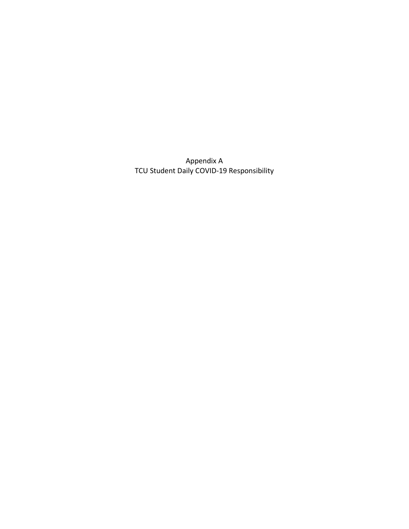Appendix A TCU Student Daily COVID-19 Responsibility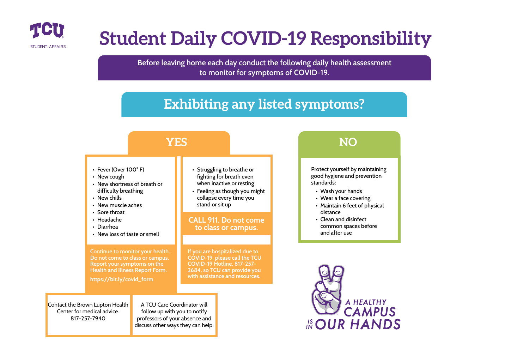

# **Student Daily COVID-19 Responsibility**

**Before leaving home each day conduct the following daily health assessment to monitor for symptoms of COVID-19.**

## **Exhibiting any listed symptoms?**



Protect yourself by maintaining good hygiene and prevention

- Wash your hands
- Wear a face covering
- Maintain 6 feet of physical distance
- Clean and disinfect common spaces before and after use

A HEALTHY<br>**CAMPUS**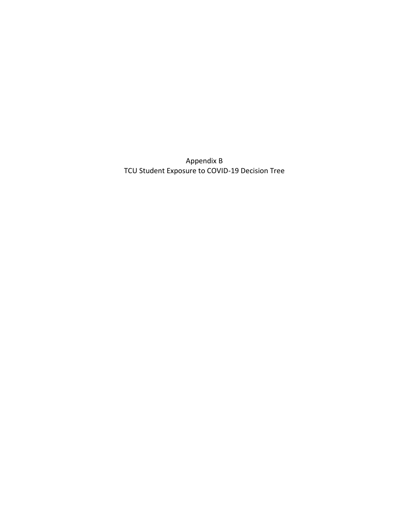Appendix B TCU Student Exposure to COVID-19 Decision Tree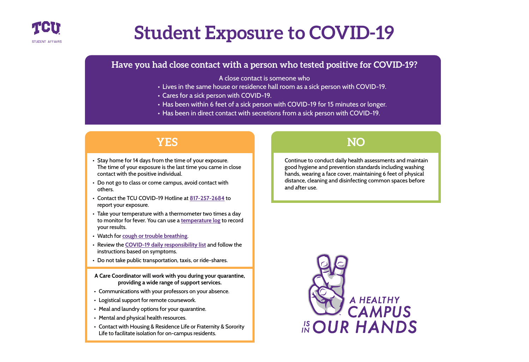

# **Student Exposure to COVID-19**

### **Have you had close contact with a person who tested positive for COVID-19?**

A close contact is someone who

- Lives in the same house or residence hall room as a sick person with COVID-19.
- Cares for a sick person with COVID-19.
- Has been within 6 feet of a sick person with COVID-19 for 15 minutes or longer.
- Has been in direct contact with secretions from a sick person with COVID-19.

## **YES NO**

- Stay home for 14 days from the time of your exposure. The time of your exposure is the last time you came in close contact with the positive individual.
- Do not go to class or come campus, avoid contact with others.
- Contact the TCU COVID-19 Hotline at **[817-257-2684](tel://18172572684)** to report your exposure.
- Take your temperature with a thermometer two times a day to monitor for fever. You can use a **[temperature log](https://www.cdc.gov/coronavirus/2019-ncov/travelers/communication-resources.html#templog)** to record your results.
- Watch for **[cough or trouble breathing](https://www.cdc.gov/coronavirus/2019-ncov/symptoms-testing/symptoms.html)**.
- Review the **[COVID-19 daily responsibility list](https://www.tcu.edu/coronavirus/files/_dt/DT-Student-Daily-COVID-19-Responsibility.pdf)** and follow the instructions based on symptoms.
- Do not take public transportation, taxis, or ride-shares.

**A Care Coordinator will work with you during your quarantine, providing a wide range of support services.**

- Communications with your professors on your absence.
- Logistical support for remote coursework.
- Meal and laundry options for your quarantine.
- Mental and physical health resources.
- Contact with Housing & Residence Life or Fraternity & Sorority Life to facilitate isolation for on-campus residents.

Continue to conduct daily health assessments and maintain good hygiene and prevention standards including washing hands, wearing a face cover, maintaining 6 feet of physical distance, cleaning and disinfecting common spaces before and after use.

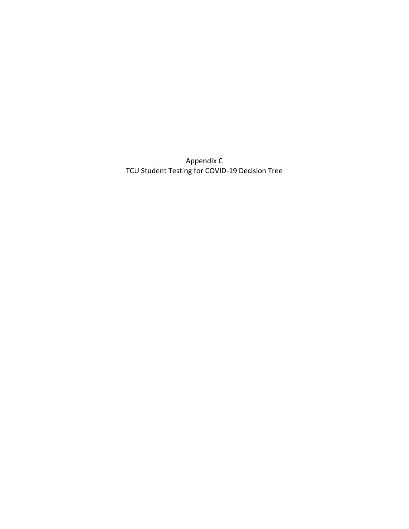Appendix C TCU Student Testing for COVID-19 Decision Tree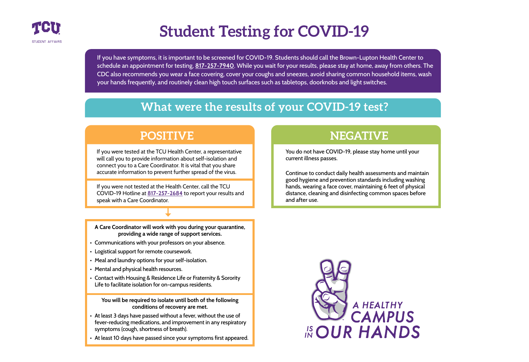

## **Student Testing for COVID-19**

If you have symptoms, it is important to be screened for COVID-19. Students should call the Brown-Lupton Health Center to schedule an appointment for testing, **[817-257-7940](tel://18172577940)**. While you wait for your results, please stay at home, away from others. The CDC also recommends you wear a face covering, cover your coughs and sneezes, avoid sharing common household items, wash your hands frequently, and routinely clean high touch surfaces such as tabletops, doorknobs and light switches.

## **What were the results of your COVID-19 test?**

## **POSITIVE**

If you were tested at the TCU He[alth Center, a rep](tel://18172572684)resentative will call you to provide information about self-isolation and connect you to a Care Coordinator. It is vital that you share accurate information to prevent further spread of the virus.

If you were not tested at the Health Center, call the TCU COVID-19 Hotline at **[817-257-2684](tel://18172572684)** to report your results and speak with a Care Coordinator.

**A Care Coordinator will work with you during your quarantine, providing a wide range of support services.**

- Communications with your professors on your absence.
- Logistical support for remote coursework.
- Meal and laundry options for your self-isolation.
- Mental and physical health resources.
- Contact with Housing & Residence Life or Fraternity & Sorority Life to facilitate isolation for on-campus residents.

**You will be required to isolate until both of the following conditions of recovery are met.**

- At least 3 days have passed without a fever, without the use of fever-reducing medications, and improvement in any respiratory symptoms (cough, shortness of breath).
- At least 10 days have passed since your symptoms first appeared.



## **NEGATIVE**

You do not have COVID-19, please stay home until your current illness passes.

Continue to conduct daily health assessments and maintain good hygiene and prevention standards including washing hands, wearing a face cover, maintaining 6 feet of physical distance, cleaning and disinfecting common spaces before and after use.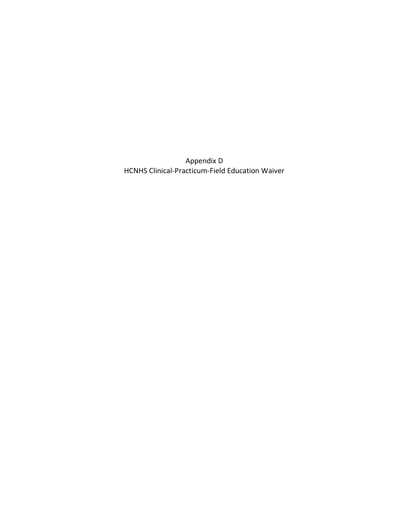Appendix D HCNHS Clinical-Practicum-Field Education Waiver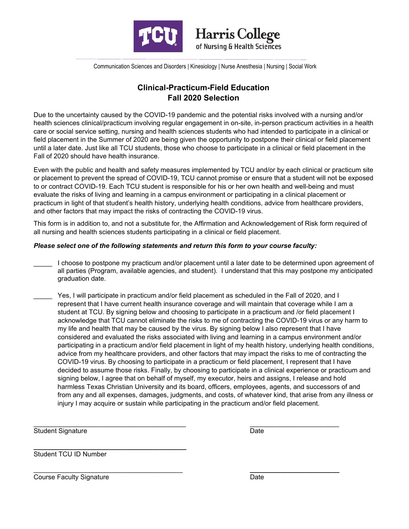

Communication Sciences and Disorders | Kinesiology | Nurse Anesthesia | Nursing | Social Work

#### **Clinical-Practicum-Field Education Fall 2020 Selection**

Due to the uncertainty caused by the COVID-19 pandemic and the potential risks involved with a nursing and/or health sciences clinical/practicum involving regular engagement in on-site, in-person practicum activities in a health care or social service setting, nursing and health sciences students who had intended to participate in a clinical or field placement in the Summer of 2020 are being given the opportunity to postpone their clinical or field placement until a later date. Just like all TCU students, those who choose to participate in a clinical or field placement in the Fall of 2020 should have health insurance.

Even with the public and health and safety measures implemented by TCU and/or by each clinical or practicum site or placement to prevent the spread of COVID-19, TCU cannot promise or ensure that a student will not be exposed to or contract COVID-19. Each TCU student is responsible for his or her own health and well-being and must evaluate the risks of living and learning in a campus environment or participating in a clinical placement or practicum in light of that student's health history, underlying health conditions, advice from healthcare providers, and other factors that may impact the risks of contracting the COVID-19 virus.

This form is in addition to, and not a substitute for, the Affirmation and Acknowledgement of Risk form required of all nursing and health sciences students participating in a clinical or field placement.

#### *Please select one of the following statements and return this form to your course faculty:*

- I choose to postpone my practicum and/or placement until a later date to be determined upon agreement of all parties (Program, available agencies, and student). I understand that this may postpone my anticipated graduation date.
- Yes, I will participate in practicum and/or field placement as scheduled in the Fall of 2020, and I represent that I have current health insurance coverage and will maintain that coverage while I am a student at TCU. By signing below and choosing to participate in a practicum and /or field placement I acknowledge that TCU cannot eliminate the risks to me of contracting the COVID-19 virus or any harm to my life and health that may be caused by the virus. By signing below I also represent that I have considered and evaluated the risks associated with living and learning in a campus environment and/or participating in a practicum and/or field placement in light of my health history, underlying health conditions, advice from my healthcare providers, and other factors that may impact the risks to me of contracting the COVID-19 virus. By choosing to participate in a practicum or field placement, I represent that I have decided to assume those risks. Finally, by choosing to participate in a clinical experience or practicum and signing below, I agree that on behalf of myself, my executor, heirs and assigns, I release and hold harmless Texas Christian University and its board, officers, employees, agents, and successors of and from any and all expenses, damages, judgments, and costs, of whatever kind, that arise from any illness or injury I may acquire or sustain while participating in the practicum and/or field placement.

 $\mathcal{L}_\mathcal{L}$  , and the set of the set of the set of the set of the set of the set of the set of the set of the set of the set of the set of the set of the set of the set of the set of the set of the set of the set of th Student Signature

\_\_\_\_\_\_\_\_\_\_\_\_\_\_\_\_\_\_\_\_\_\_\_\_ Date

**\_\_\_\_\_\_\_\_\_\_\_\_\_\_\_\_\_\_\_\_\_\_\_\_\_\_\_\_\_\_\_\_\_\_\_\_\_\_\_\_\_**  Student TCU ID Number

\_\_\_\_\_\_\_\_\_\_\_\_\_\_\_\_\_\_\_\_\_\_\_\_\_\_\_\_\_\_\_\_\_\_\_\_\_\_\_\_ Course Faculty Signature

**\_\_\_\_\_\_\_\_\_\_\_\_\_\_\_\_\_\_\_\_\_\_\_\_** Date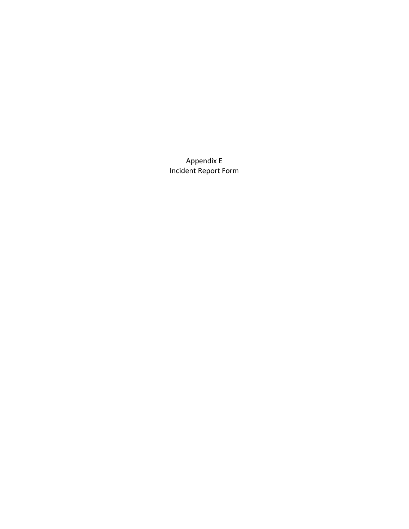Appendix E Incident Report Form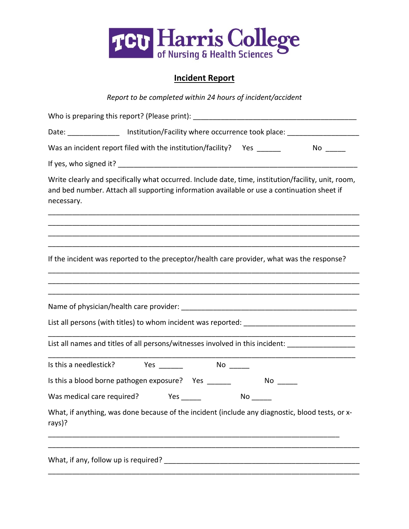

### **Incident Report**

| Report to be completed within 24 hours of incident/accident                                                                                                                                                     |
|-----------------------------------------------------------------------------------------------------------------------------------------------------------------------------------------------------------------|
| Who is preparing this report? (Please print):                                                                                                                                                                   |
| Date: __________________ Institution/Facility where occurrence took place: ________________________                                                                                                             |
| Was an incident report filed with the institution/facility?    Yes ______<br>$No \_$                                                                                                                            |
|                                                                                                                                                                                                                 |
| Write clearly and specifically what occurred. Include date, time, institution/facility, unit, room,<br>and bed number. Attach all supporting information available or use a continuation sheet if<br>necessary. |
|                                                                                                                                                                                                                 |
|                                                                                                                                                                                                                 |
| If the incident was reported to the preceptor/health care provider, what was the response?                                                                                                                      |
|                                                                                                                                                                                                                 |
|                                                                                                                                                                                                                 |
|                                                                                                                                                                                                                 |
| List all names and titles of all persons/witnesses involved in this incident: ____________________                                                                                                              |
| Is this a needlestick? Yes ______<br>$No \_\_$                                                                                                                                                                  |
| Is this a blood borne pathogen exposure? Yes ______<br>$No \_$                                                                                                                                                  |
| Was medical care required?<br>Yes $\_\_\_\_\_\_\$                                                                                                                                                               |
| What, if anything, was done because of the incident (include any diagnostic, blood tests, or x-<br>rays)?                                                                                                       |
|                                                                                                                                                                                                                 |